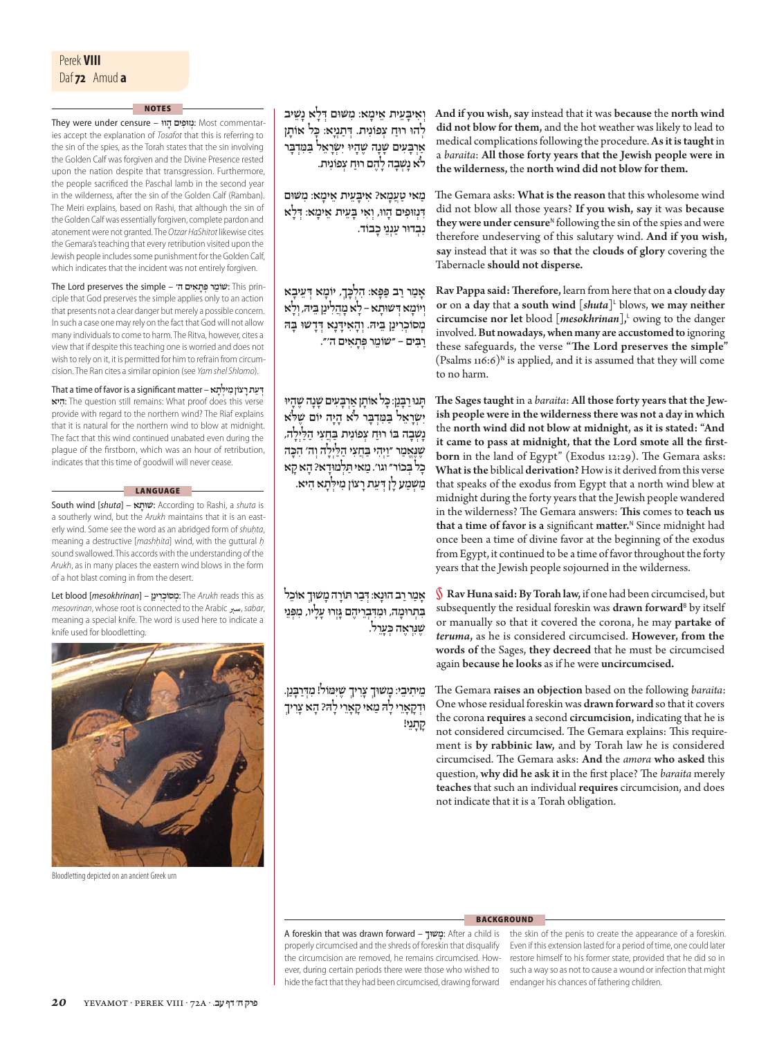# Perek **VIII**

# Daf **72** Amud **a**

# **NOTES**

 They were under censure – **ווּ הָ פיםִ זוּ נְ**: Most commentaries accept the explanation of *Tosafot* that this is referring to the sin of the spies, as the Torah states that the sin involving the Golden Calf was forgiven and the Divine Presence rested upon the nation despite that transgression. Furthermore, the people sacrificed the Paschal lamb in the second year in the wilderness, after the sin of the Golden Calf (Ramban). The Meiri explains, based on Rashi, that although the sin of the Golden Calf was essentially forgiven, complete pardon and atonement were not granted. The *Otzar HaShitot* likewise cites the Gemara's teaching that every retribution visited upon the Jewish people includes some punishment for the Golden Calf, which indicates that the incident was not entirely forgiven.

 The Lord preserves the simple – **ה׳ איםִ תָפְּ וֹמרֵ שׁ** : This principle that God preserves the simple applies only to an action that presents not a clear danger but merely a possible concern. In such a case one may rely on the fact that God will not allow many individuals to come to harm. The Ritva, however, cites a view that if despite this teaching one is worried and does not wish to rely on it, it is permitted for him to refrain from circumcision. The Ran cites a similar opinion (see *Yam shel Shlomo*).

 That a time of favor is a significant matter – **תאָילְּ מִ רצוֹןָעתֵדּ ְ היאִ** : The question still remains: What proof does this verse provide with regard to the northern wind? The Riaf explains that it is natural for the northern wind to blow at midnight. The fact that this wind continued unabated even during the plague of the firstborn, which was an hour of retribution, indicates that this time of goodwill will never cease.

# **LANGUAGE**

 South wind [*shuta*] – **תאָוּשׁ** : According to Rashi, a *shuta* is a southerly wind, but the *Arukh* maintains that it is an easterly wind. Some see the word as an abridged form of *shuĥta*, meaning a destructive [*mashĥita*] wind, with the guttural *ĥ* sound swallowed. This accords with the understanding of the *Arukh*, as in many places the eastern wind blows in the form of a hot blast coming in from the desert.

 Let blood [*mesokhrinan*] – **ינןַ רִסוֹכְ מְ** : The *Arukh* reads this as *mesovrinan*, whose root is connected to the Arabic سبر, *sabar*, meaning a special knife. The word is used here to indicate a knife used for bloodletting.



Bloodletting depicted on an ancient Greek urn

**ְו ִא ָּיבֵעית ֵא ָימא: ִמּׁשּום ְ ּדָלא ָנֵׁשיב ּכל ָאוֹתן ְל ּהו ּרוח ְצ ִפוֹנית. ְ ּדַתְנָיא: ָ ַאְרָּב ִעים ָׁשָנה ֶׁשָה ּיו ִי ְׂשָרֵאל ַּב ִּמְדָּבר לֹא ָנׁ ְשָבה ָלֶהם ּרוח ְצ ִפוֹנית.**

**ַמאי ַטֲעָמא? ִא ָּיבֵעית ֵא ָימא: ִמּׁשּום ִ ּדְנ ּזו ִפים ָה ּוו, ְו ִאי ָּבֵעית ֵא ָימא: ְ ּדָלא ִנ ְב ּדור ַעְנֵני ָכבוֹד.** 

**ּכ ְך, ָ יוֹמא ְ ּדֵע ָיבא ָאַמרַרב ַּפ ָּפא: ִה ְלָ ְו ָ יוֹמא ְ ּד ׁשּוָתא – ָלא ָמֲה ִל ַינן ֵּב ּיה, ְוָלא ְמ ְסוֹכִר ַינן ֵּב ּיה. ְוָה ִא ָּידָנא ְ ּדָד ׁשּו ָּב ּה ַרִּבים – ׁ״ש ֵוֹמר ְּפָת ִאים ה׳״.**

**ּכל ָאוֹתן ַאְרָּב ִעים ָׁשָנה ֶׁשָה ּיו ָּת ּנוַרָּבַנן: ָ ִי ְׂשָרֵאל ַּב ִּמְדָּבר לֹא ָהָיה יוֹם ֶׁש ּלֹא ָנׁ ְשָבה ּבוֹ ּרוח ְצ ִפוֹנית ַּבֲח ִצי ַהַּלְיָלה, ּכה ּלְיָלה ְוה׳ ִהָ ֶׁשֶּנֱאַמר ַ״וְי ִהי ַּבֲח ִצי ַהַ ָכל ְּבכוֹר״וגו׳. ַמאי ַּתְל ּמוָדא? ָהאָקא ּילָתא ִהיא. ַמׁ ְשַמע ָלן ְ ּדֵעתָרצוֹן ִמ ְ**

**ָאַמרַרב ּהוָנא: ְ ּדַבר ּתָוֹרה ָמׁשּו ְך ֵאוֹכל ִּב ְת ּרוָמה, ּו ִמִ ּד ְבֵר ֶיהם ָּגְז ּרו ָעָליו, ִמְּפֵני ּכָעֵרל. ּנְרֶאה ְ ֶׁשִ**

**ֵמ ִית ֵיבי: ָמׁשּו ְך ָצִר ְיך ֶׁשִיּ ּמוֹל! ִמְ ּדַרָּבַנן. ּוְדָקָאֵרי ָל ּה ַמאי ָקָאֵרי ָל ּה? ָהא ָצִר ְיך ָקָתֵני!**  **And if you wish, say** instead that it was **because** the **north wind did not blow for them,** and the hot weather was likely to lead to medical complications following the procedure. **As it is taught** in a *baraita*: **All those forty years that the Jewish people were in the wilderness,** the **north wind did not blow for them.**

The Gemara asks: What is the reason that this wholesome wind did not blow all those years? **If you wish, say** it was **because**  they were under censure<sup>N</sup> following the sin of the spies and were therefore undeserving of this salutary wind. **And if you wish, say** instead that it was so **that** the **clouds of glory** covering the Tabernacle **should not disperse.**

**Rav Pappa said: Th erefore,** learn from here that on **a cloudy day or** on **a** day that **a south wind** [*shuta*]<sup>L</sup> blows, we may neither **circumcise nor let** blood  $[$ *mesokhrinan* $]$ <sup> $\iota$ </sup> owing to the danger involved. **But nowadays, when many are accustomed to** ignoring these safeguards, the verse **"Th e Lord preserves the simple"**  (Psalms  $116:6$ )<sup>N</sup> is applied, and it is assumed that they will come to no harm.

**Th e Sages taught** in a *baraita*: **All those forty years that the Jewish people were in the wilderness there was not a day in which**  the **north wind did not blow at midnight, as it is stated: "And**  it came to pass at midnight, that the Lord smote all the firstborn in the land of Egypt" (Exodus 12:29). The Gemara asks: **What is the** biblical **derivation?** How is it derived from this verse that speaks of the exodus from Egypt that a north wind blew at midnight during the forty years that the Jewish people wandered in the wilderness? The Gemara answers: This comes to teach us that a time of favor is a significant matter.<sup>N</sup> Since midnight had once been a time of divine favor at the beginning of the exodus from Egypt, it continued to be a time of favor throughout the forty years that the Jewish people sojourned in the wilderness.

§ **Rav Huna said: By Torah law,** if one had been circumcised, but subsequently the residual foreskin was drawn forward<sup>B</sup> by itself or manually so that it covered the corona, he may **partake of**  *teruma***,** as he is considered circumcised. **However, from the words of** the Sages, **they decreed** that he must be circumcised again **because he looks** as if he were **uncircumcised.**

The Gemara raises an objection based on the following *baraita*: One whose residual foreskin was **drawn forward** so that it covers the corona **requires** a second **circumcision,** indicating that he is not considered circumcised. The Gemara explains: This requirement is **by rabbinic law,** and by Torah law he is considered circumcised. The Gemara asks: And the *amora* who asked this question, why did he ask it in the first place? The *baraita* merely **teaches** that such an individual **requires** circumcision, and does not indicate that it is a Torah obligation.

#### **BACKGROUND**

 A foreskin that was drawn forward – **ךְ וּשׁמָ**: After a child is properly circumcised and the shreds of foreskin that disqualify the circumcision are removed, he remains circumcised. However, during certain periods there were those who wished to hide the fact that they had been circumcised, drawing forward

the skin of the penis to create the appearance of a foreskin. Even if this extension lasted for a period of time, one could later restore himself to his former state, provided that he did so in such a way so as not to cause a wound or infection that might endanger his chances of fathering children.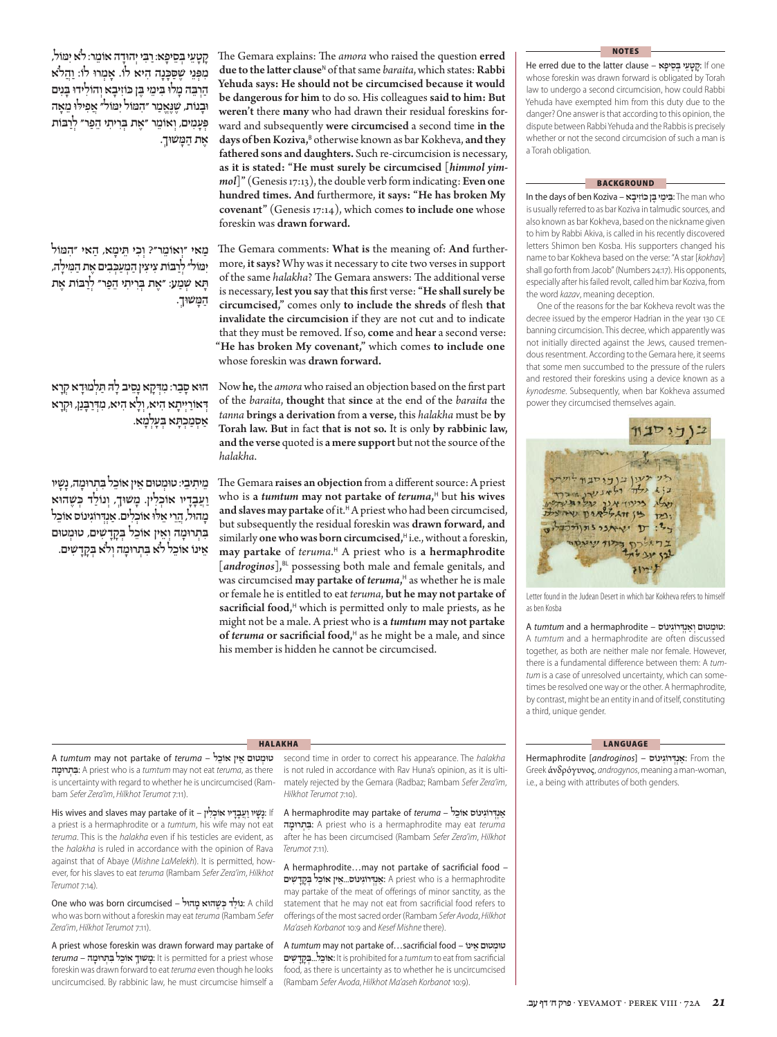| קטַעֵי בִּסֵיפַא: רַבִּי יִהוּדַה אוֹמר: לֹא יִמּוֹל,      | The  |
|------------------------------------------------------------|------|
| מִפְּנֵי שֶׁפַּכָּנָה הִיא לוֹ. אַמְרוּ לוֹ: והלֹא         | due  |
| הַרְבֵּה מֲלוּ בִּימֵי בֵּן כּוֹזִיבָא וְהוֹלִידוּ בַּנִים | Yeh  |
|                                                            | be ( |
| וּבָנוֹת, שֶׁנֶאֱמַר ״הִמּוֹל יְמּוֹל״ אֲפִילוּ מֵאַה      | wei  |
| פְּעָמִים, וְאוֹמֵר ״אֶת בְּרִיתִי הֵפַר״ לְרַבּוֹת        | war  |
| את המשוך.                                                  | day  |
|                                                            | fatl |
|                                                            | as i |
|                                                            |      |

**ַמאי ְ״ו ֵאוֹמר״? ְו ִכי ֵּת ָימא, ַהאי ִ״ה ּמוֹל ּכ ִבים ֶאת ַה ִּמ ָילה, ִי ּמוֹל״ ְלַרּבוֹת ִצ ִיצין ַה ְמַע ְ ָּתא ׁ ְשַמע: ֶ״את ְּבִר ִיתי ֵהַפר״ ְלַרּבוֹת ֶאת ַה ָּמׁשּו ְך.** 

**ּהוא ָסַבר: ִמְ ּדָקאָנֵסיב ָל ּה ַּתְל ּמוָדא ְקָרא ְ ּד ַאוֹרְי ָיתא ִהיא, ְוָלא ִהיא, ִמְ ּדַרָּבַנן, ּו ְקָרא ַא ְסַמ ְכ ָּתא ְּבָעְלָמא.**

**ֵמ ִית ֵיבי: ּטו ְמ ּטום ֵאין ֵאוֹכל ִּב ְת ּרוָמה, ָנָׁשיו ּכ ֶׁש ּהוא ַוֲעָבָדיו ְאוֹכִלין. ָמׁשּו ְך, ְו ַ נוֹלד ְ ָמ ּהול, ֲהֵרי ֵא ּלּו ְאוֹכִלים. ַאְנְ ּד ִרוֹגינוֹס ֵאוֹכל ִּב ְת ּרוָמה ְוֵאין ֵאוֹכל ְּבָקָד ׁ ִשים, ּטו ְמ ּטום ֵאינוֹ ֵאוֹכל לֹא ִּב ְת ּרוָמה ְולֹא ְּבָקָד ׁ ִשים.** 

Gemara explains: The *amora* who raised the question erred **due to the latt er clause**<sup>N</sup>of that same *baraita*, which states: **Rabbi Yehuda says: He should not be circumcised because it would be dangerous for him** to do so. His colleagues **said to him: But weren't** there **many** who had drawn their residual foreskins forward and subsequently **were circumcised** a second time **in the days of ben Koziva,**<sup>B</sup>otherwise known as bar Kokheva, **and they fathered sons and daughters.** Such re-circumcision is necessary, **as it is stated: "He must surely be circumcised [***himmol yimmol*<sup>*]*"</sup> (Genesis 17:13), the double verb form indicating: **Even one hundred times. And** furthermore, **it says: "He has broken My covenant"** (Genesis 17:14), which comes **to include one** whose foreskin was **drawn forward.**

The Gemara comments: What is the meaning of: And furthermore, **it says?** Why was it necessary to cite two verses in support of the same *halakha*? The Gemara answers: The additional verse is necessary, lest you say that this first verse: "He shall surely be **circumcised,"** comes only **to include the shreds** of flesh that **invalidate the circumcision** if they are not cut and to indicate that they must be removed. If so, **come** and **hear** a second verse: **"He has broken My covenant,"** which comes **to include one**  whose foreskin was **drawn forward.**

Now he, the *amora* who raised an objection based on the first part of the *baraita*, **thought** that **since** at the end of the *baraita* the *tanna* **brings a derivation** from **a verse,** this *halakha* must be **by Torah law. But** in fact **that is not so.** It is only **by rabbinic law, and the verse** quoted is **a mere support** but not the source of the *halakha*.

The Gemara raises an objection from a different source: A priest who is a *tumtum* may not partake of *teruma*,<sup> $\parallel$ </sup> but his wives **and slaves may partake** of it. <sup>H</sup>A priestwho had been circumcised, but subsequently the residual foreskin was **drawn forward, and**  similarly **one who was born circumcised**,<sup>H</sup> i.e., without a foreskin, **may partake** of *teruma*. <sup>H</sup>A priest who is **a hermaphrodite**  [*androginos*],<sup>BL</sup> possessing both male and female genitals, and was circumcised **may partake of** *teruma***,** <sup>H</sup>as whether he is male or female he is entitled to eat *teruma*, **but he may not partake of**  sacrificial food,<sup>H</sup> which is permitted only to male priests, as he might not be a male. A priest who is **a** *tumtum* **may not partake of** *teruma* **or sacrifi cial food,**<sup>H</sup>as he might be a male, and since his member is hidden he cannot be circumcised.

#### **HALAKHA**

 A *tumtum* may not partake of *teruma* – **אוֹכלֵ איןֵ טוםּ מְ טוּ מהָרוּ תְ בִּ** : A priest who is a *tumtum* may not eat *teruma*, as there is uncertainty with regard to whether he is uncircumcised (Rambam *Sefer Zera'im*, *Hilkhot Terumot* 7:11).

 His wives and slaves may partake of it – **ליןִאוֹכְ דיוָבָעֲוַשיוָׁנָ**: If a priest is a hermaphrodite or a *tumtum*, his wife may not eat *teruma*. This is the *halakha* even if his testicles are evident, as the *halakha* is ruled in accordance with the opinion of Rava against that of Abaye (*Mishne LaMelekh*). It is permitted, however, for his slaves to eat *teruma* (Rambam *Sefer Zera'im*, *Hilkhot Terumot* 7:14).

**ּכֶׁש ּהוא ָמ ּהול** – circumcised born was who One **ְ נוֹלדַ** : A child who was born without a foreskin may eat *teruma* (Rambam *Sefer Zera'im*, *Hilkhot Terumot* 7:11).

 A priest whose foreskin was drawn forward may partake of whose priest a for permitted is It **ָ**:**מׁשּו ְך ֵאוֹכל ִּב ְת ּרוָמה** – *teruma* foreskin was drawn forward to eat *teruma* even though he looks uncircumcised. By rabbinic law, he must circumcise himself a

second time in order to correct his appearance. The *halakha* is not ruled in accordance with Rav Huna's opinion, as it is ultimately rejected by the Gemara (Radbaz; Rambam *Sefer Zera'im*, *Hilkhot Terumot* 7:10).

 A hermaphrodite may partake of *teruma* – **אוֹכלֵ רוֹגינוֹסִ דּ ְנְאַ מהָרוּ תְ בִּ** : A priest who is a hermaphrodite may eat *teruma* after he has been circumcised (Rambam *Sefer Zera'im*, *Hilkhot Terumot* 7:11).

 A hermaphrodite…may not partake of sacrificial food – hermaphrodite a is who priest A **ַ**:**אְנְ ּד ִרוֹגינוֹס...ֵאין ֵאוֹכל ְּבָקָד ׁ ִשים** may partake of the meat of offerings of minor sanctity, as the statement that he may not eat from sacrificial food refers to offerings of the most sacred order (Rambam *Sefer Avoda*, *Hilkhot Ma'aseh Korbanot* 10:9 and *Kesef Mishne* there).

 A *tumtum* may not partake of…sacrificial food – **אינוֵֹ טוםּ מְ טוּ שיםִ ׁ דָקָבְּ... אוֹכלֵ** : It is prohibited for a *tumtum* to eat from sacrificial food, as there is uncertainty as to whether he is uncircumcised (Rambam *Sefer Avoda*, *Hilkhot Ma'aseh Korbanot* 10:9).

# **NOTES**

 He erred due to the latter clause – **יפאָ סֵבְּ עיֵטָקָ**: If one whose foreskin was drawn forward is obligated by Torah law to undergo a second circumcision, how could Rabbi Yehuda have exempted him from this duty due to the danger? One answer is that according to this opinion, the dispute between Rabbi Yehuda and the Rabbis is precisely whether or not the second circumcision of such a man is a Torah obligation.

# **BACKGROUND**

 In the days of ben Koziva – **יבאָ וֹזִ כּ בןֶּ ימיֵ בִּ** : The man who is usually referred to as bar Koziva in talmudic sources, and also known as bar Kokheva, based on the nickname given to him by Rabbi Akiva, is called in his recently discovered letters Shimon ben Kosba. His supporters changed his name to bar Kokheva based on the verse: "A star [*kokhav*] shall go forth from Jacob" (Numbers 24:17). His opponents, especially after his failed revolt, called him bar Koziva, from the word *kazav*, meaning deception.

One of the reasons for the bar Kokheva revolt was the decree issued by the emperor Hadrian in the year 130 CE banning circumcision. This decree, which apparently was not initially directed against the Jews, caused tremendous resentment. According to the Gemara here, it seems that some men succumbed to the pressure of the rulers and restored their foreskins using a device known as a *kynodesme*. Subsequently, when bar Kokheva assumed power they circumcised themselves again.



Letter found in the Judean Desert in which bar Kokheva refers to himself as ben Kosba

: **ּטו ְמ ּטום ְוַאְנְ ּד ִרוֹגינוֹס** – hermaphrodite a and *tumtum* A A *tumtum* and a hermaphrodite are often discussed together, as both are neither male nor female. However, there is a fundamental difference between them: A *tumtum* is a case of unresolved uncertainty, which can sometimes be resolved one way or the other. A hermaphrodite, by contrast, might be an entity in and of itself, constituting a third, unique gender.

# **LANGUAGE**

 the From **ַ**:**אְנְ ּד ִרוֹגינוֹס** – [*androginos* [Hermaphrodite Greek άνδρόγυνος, *androgynos*, meaning a man-woman, i.e., a being with attributes of both genders.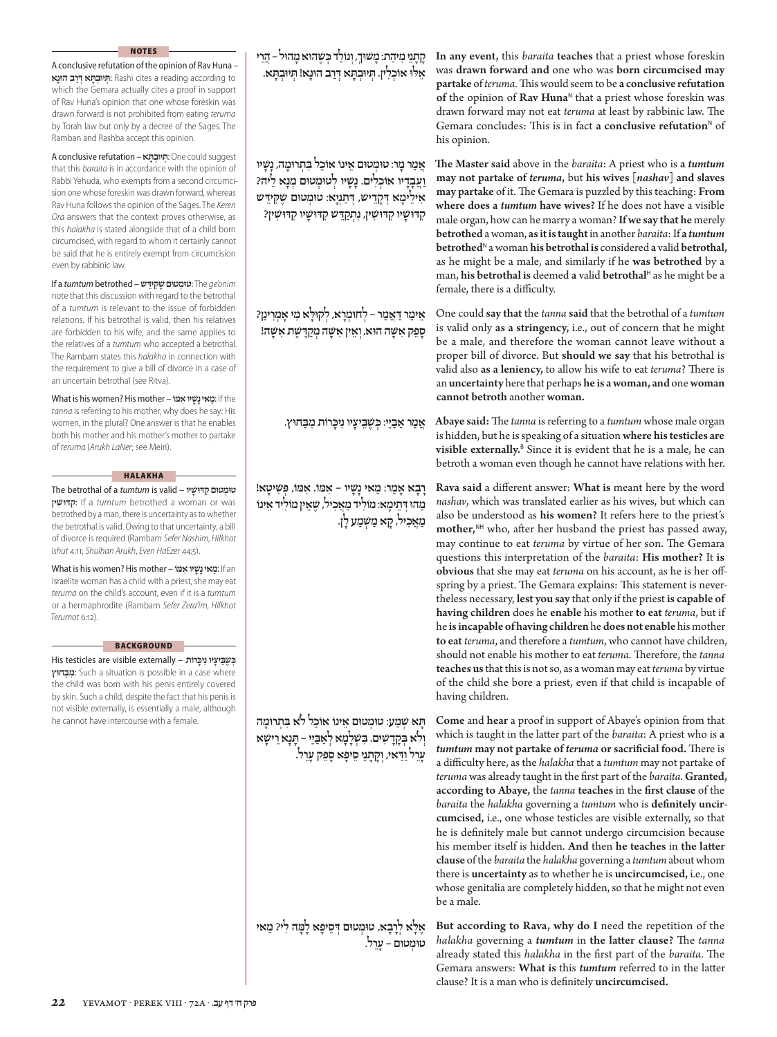# **NOTES**

 A conclusive refutation of the opinion of Rav Huna – to according reading a cites Rashi : **ְּת ּיוְב ָּתא ְ ּדַרב ּהוָנא** which the Gemara actually cites a proof in support of Rav Huna's opinion that one whose foreskin was drawn forward is not prohibited from eating *teruma* by Torah law but only by a decree of the Sages. The Ramban and Rashba accept this opinion.

 A conclusive refutation – **תאָּ בְיוּ תְּ** : One could suggest that this *baraita* is in accordance with the opinion of Rabbi Yehuda, who exempts from a second circumcision one whose foreskin was drawn forward, whereas Rav Huna follows the opinion of the Sages. The *Keren Ora* answers that the context proves otherwise, as this *halakha* is stated alongside that of a child born circumcised, with regard to whom it certainly cannot be said that he is entirely exempt from circumcision even by rabbinic law.

*onim'ge* The : **ּטו ְמ ּטום ֶׁשִּק ֵּיד ׁש** – betrothed *tumtum* a If note that this discussion with regard to the betrothal of a *tumtum* is relevant to the issue of forbidden relations. If his betrothal is valid, then his relatives are forbidden to his wife, and the same applies to the relatives of a *tumtum* who accepted a betrothal. The Rambam states this *halakha* in connection with the requirement to give a bill of divorce in a case of an uncertain betrothal (see Ritva).

 What is his women? His mother – **מוֹּ אִ שיוָׁנָמאיַ**: If the *tanna* is referring to his mother, why does he say: His women, in the plural? One answer is that he enables both his mother and his mother's mother to partake of *teruma* (*Arukh LaNer*; see Meiri).

#### **HALAKHA**

**ּטו ְמ ּטום ִק ּדּו ָׁשיו** – valid is *tumtum* a of betrothal The **שיןִ ׁ וּדּ קִ** : If a *tumtum* betrothed a woman or was betrothed by a man, there is uncertainty as to whether the betrothal is valid. Owing to that uncertainty, a bill of divorce is required (Rambam *Sefer Nashim*, *Hilkhot Ishut* 4:11; *Shulĥan Arukh*, *Even HaEzer* 44:5).

 What is his women? His mother – **מוֹּ אִ שיוָׁנָמאיַ**: If an Israelite woman has a child with a priest, she may eat *teruma* on the child's account, even if it is a *tumtum* or a hermaphrodite (Rambam *Sefer Zera'im*, *Hilkhot Terumot* 6:12).

### **BACKGROUND**

**ּכֶׁשֵּב ָיציו ִנ ָּיכרוֹת** – externally visible are testicles His **ְ חוץּ בַּמִ** : Such a situation is possible in a case where the child was born with his penis entirely covered by skin. Such a child, despite the fact that his penis is not visible externally, is essentially a male, although he cannot have intercourse with a female.

**ּכֶׁש ּהוא ָמ ּהול – ֲהֵרי ָקָתֵני ִמ ַיהת: ָמׁשּו ְך, ְו ַנוֹלד ְ ֵא ּלּו ְאוֹכִלין. ְּת ּיוְב ָּתא ְ ּדַרב ּהוָנא! ְּת ּיוְב ָּתא.**

**ֲאַמר ָמר: ּטו ְמ ּטום ֵאינוֹ ֵאוֹכל ִּב ְת ּרוָמה, ָנָׁשיו ַוֲעָבָדיו ְאוֹכִלים. ָנָׁשיו ְל ּטו ְמ ּטום ְמָנא ֵל ּיה? ִא ֵיל ָימא ְ ּדָקֵד ׁיש, ְ ּדַתְנָיא: ּטו ְמ ּטום ֶׁשִּק ֵּיד ׁש ִק ּדּו ָׁשיו ִק ּדּו ׁ ִשין, ִנְתַקֵּד ׁש ִק ּדּו ָׁשיו ִק ּדּו ׁ ִשין?** 

**ֵא ַימרַּדֲאַמר – ְל ּחו ְמָרא, ְל ּקוָּלא ִמי ָא ְמִר ַינן? ָסֵפק ִאָּׁשה ּהוא, ְוֵאין ִאָּׁשה ְמַקֶּד ֶׁשת ִאָּׁשה!** 

**ּיכרוֹת ִמַּב ּחוץ. ּכֶׁשֵּב ָיציו ִנ ָ ֲאַמר ַאַּבֵיי: ְ**

**ָרָבא ָאַמר: ַמאי ָנָׁשיו – ִא ּמוֹ. ִא ּמוֹ, ְּפׁ ִש ָיטא! ַמ ּהו ְ ּדֵת ָימא: ִמוֹליד ַמֲא ִכיל, ֶׁשֵאין ִמוֹליד ֵאינוֹ ַמֲא ִכיל, ָקא ַמׁ ְשַמע ָלן.**

**ָּתא ׁ ְשַמע: ּטו ְמ ּטום ֵאינוֹ ֵאוֹכל לֹא ִּב ְת ּרוָמה ְולֹא ְּבָקָד ׁ ִשים. ִּבׁ ְשָלָמא ְלַאַּבֵיי – ָּתָנאֵר ָׁ ישא ָעֵרלַוַּדאי, ְוָקָתֵני ֵס ָיפא ָסֵפק ָעֵרל.** 

**In any event,** this *baraita* **teaches** that a priest whose foreskin was **drawn forward and** one who was **born circumcised may partake** of *teruma*. This would seem to be a conclusive refutation of the opinion of **Rav Huna**<sup>N</sup> that a priest whose foreskin was drawn forward may not eat *teruma* at least by rabbinic law. The Gemara concludes: This is in fact a conclusive refutation<sup>N</sup> of his opinion.

**Th e Master said** above in the *baraita*: A priest who is **a** *tumtum* **may not partake of** *teruma***,** but **his wives [***nashav***] and slaves**  may partake of it. The Gemara is puzzled by this teaching: From **where does a** *tumtum* **have wives?** If he does not have a visible male organ, howcan he marry a woman? **If we say that he** merely **betrothed** a woman, **as it is taught** in another *baraita*: If **a** *tumtum* **betrothed**<sup>N</sup> a woman his betrothal is considered a valid betrothal, as he might be a male, and similarly if he **was betrothed** by a man, his betrothal is deemed a valid betrothal<sup>H</sup> as he might be a female, there is a difficulty.

One could **say that** the *tanna* **said** that the betrothal of a *tumtum* is valid only **as a stringency,** i.e., out of concern that he might be a male, and therefore the woman cannot leave without a proper bill of divorce. But **should we say** that his betrothal is valid also as a leniency, to allow his wife to eat *teruma*? There is an **uncertainty** here that perhaps **he is a woman, and** one **woman cannot betroth** another **woman.**

Abaye said: The *tanna* is referring to a *tumtum* whose male organ is hidden, but he is speaking of a situation **where his testicles are visible externally.**<sup>B</sup> Since it is evident that he is a male, he can betroth a woman even though he cannot have relations with her.

Rava said a different answer: What is meant here by the word *nashav*, which was translated earlier as his wives, but which can also be understood as **his women?** It refers here to the priest's mother,<sup>NH</sup> who, after her husband the priest has passed away, may continue to eat *teruma* by virtue of her son. The Gemara questions this interpretation of the *baraita*: **His mother?** It **is obvious** that she may eat *teruma* on his account, as he is her off spring by a priest. The Gemara explains: This statement is nevertheless necessary, **lest you say** that only if the priest **is capable of having children** does he **enable** his mother **to eat** *teruma*, but if he **is incapable of having children** he **does not enable** his mother **to eat** *teruma*, and therefore a *tumtum*, who cannot have children, should not enable his mother to eat *teruma*. Therefore, the tanna **teaches us** that this is not so, as a woman may eat *teruma* by virtue of the child she bore a priest, even if that child is incapable of having children.

**Come** and **hear** a proof in support of Abaye's opinion from that which is taught in the latter part of the *baraita*: A priest who is a *tumtum* may not partake of *teruma* or sacrificial food. There is a diffi culty here, as the *halakha* that a *tumtum* may not partake of *teruma* was already taught in the first part of the *baraita*. Granted, **according to Abaye,** the *tanna* **teaches** in the **fi rst clause** of the baraita the *halakha* governing a *tumtum* who is definitely uncir**cumcised,** i.e., one whose testicles are visible externally, so that he is definitely male but cannot undergo circumcision because his member itself is hidden. And then he teaches in the latter **clause** of the *baraita* the *halakha* governing a *tumtum* aboutwhom there is **uncertainty** as to whether he is **uncircumcised,** i.e., one whose genitalia are completely hidden, so that he might not even be a male.

**ֶאָּלא ְלָרָבא, ּטו ְמ ּטום ְ ּדֵס ָיפא ָל ָּמה ִלי? ַמאי ּטו ְמ ּטום – ָעֵרל.** **But according to Rava, why do I** need the repetition of the *halakha* governing a *tumtum* in the latter clause? The *tanna* already stated this *halakha* in the first part of the *baraita*. The Gemara answers: What is this *tumtum* referred to in the latter clause? It is a man who is definitely *uncircumcised*.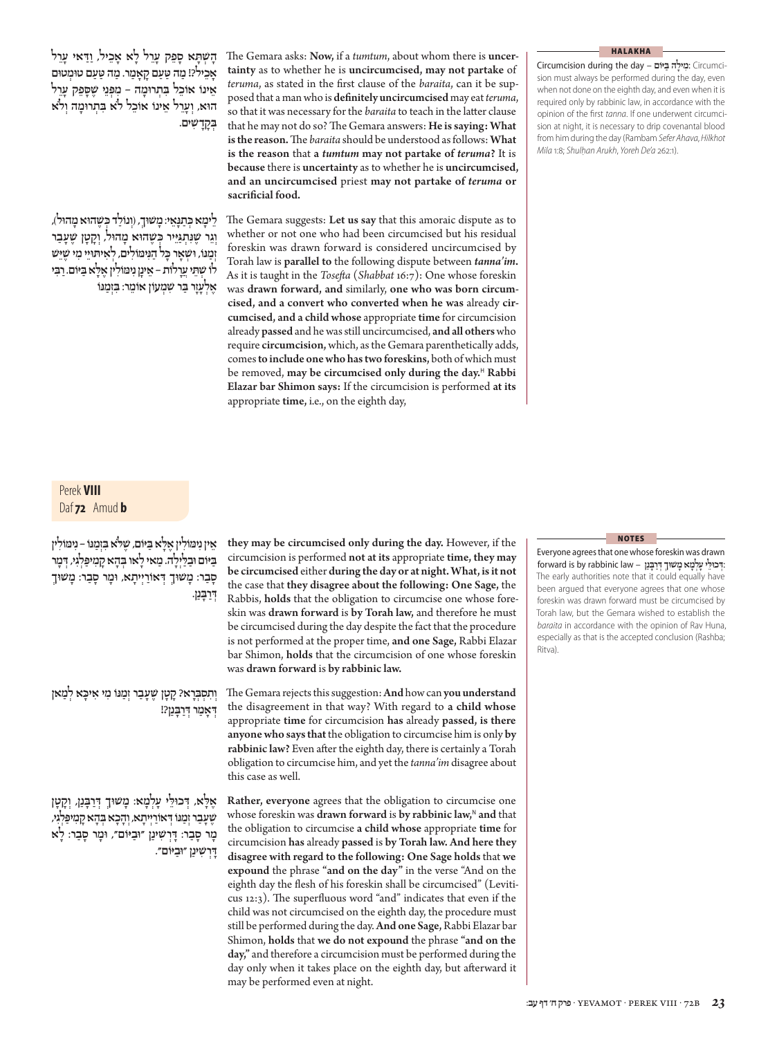**ָה ׁ ְש ָּתא ָסֵפק ָעֵרל ָלא ָאֵכיל, ַוַּדאי ָעֵרל ָאֵכיל?! ַמה ַּטַעם ָקָאַמר. ַמה ַּטַעם ּטו ְמ ּטום ֵאינוֹ ֵאוֹכל ִּב ְת ּרוָמה – ִמְּפֵני ֶׁש ָּסֵפק ָעֵרל ּהוא, ְוָעֵרל ֵאינוֹ ֵאוֹכל לֹא ִּב ְת ּרוָמה ְולֹא ְּבָקָד ׁ ִשים.**

The Gemara asks: Now, if a *tumtum*, about whom there is *uncer***tainty** as to whether he is **uncircumcised, may not partake** of *teruma*, as stated in the first clause of the *baraita*, can it be supposed that a man who is **defi nitely uncircumcised** may eat *teruma*, so that it was necessary for the *baraita* to teach in the latter clause that he may not do so? The Gemara answers: He is saying: What is the reason. The *baraita* should be understood as follows: What **is the reason** that **a** *tumtum* **may not partake of** *teruma***?** It is **because** there is **uncertainty** as to whether he is **uncircumcised, and an uncircumcised** priest **may not partake of** *teruma* **or sacrifi cial food.** 

**ּכֶׁש ּהוא ָמ ּהול), ּכַתָּנֵאי: ָמׁשּו ְך, (ְו ַנוֹלד ְ ֵל ָימא ְ ּכֶׁש ּהוא ָמ ּהול, ְוָקָטן ֶׁשָעַבר ּנ ְתַּגֵיּיר ְ ְוֵגר ֶׁשִ ּנ ּימ ִוֹלים, ְל ִא ּיתּוֵיי ִמי ֶׁשֵיּׁש ּכל ַהִ ְזַמּנוֹ, ּו ׁ ְשָאר ָ ּלא ַּביּוֹם. ַרִּבי לוֹ ׁ ְשֵּתיֲעָרלוֹת – ֵא ָינן ִנ ּימ ִוֹלין ֶאָ ֶאְלָעָזר ַּבר ׁ ִשְמעוֹן ֵאוֹמר: ִּבְזַמּנוֹ**

The Gemara suggests: Let us say that this amoraic dispute as to whether or not one who had been circumcised but his residual foreskin was drawn forward is considered uncircumcised by Torah law is **parallel to** the following dispute between *tanna'im***.**  As it is taught in the *Tosefta* (*Shabbat* 16:7): One whose foreskin was **drawn forward, and** similarly, **one who was born circumcised, and a convert who converted when he was** already **circumcised, and a child whose** appropriate **time** for circumcision already **passed** and he was still uncircumcised, **and all others** who require **circumcision,** which, as the Gemara parenthetically adds, comes **to include one who has two foreskins,** both ofwhich must be removed, **may be circumcised only during the day.**<sup>H</sup>**Rabbi Elazar bar Shimon says:** If the circumcision is performed **at its**  appropriate **time,** i.e., on the eighth day,

#### **HALAKHA**

 Circumcision during the day – **ביּוֹםַּ ילהָ מִ** : Circumcision must always be performed during the day, even when not done on the eighth day, and even when it is required only by rabbinic law, in accordance with the opinion of the first *tanna*. If one underwent circumcision at night, it is necessary to drip covenantal blood from him during the day (Rambam *Sefer Ahava*, *Hilkhot Mila* 1:8; *Shulĥan Arukh*, *Yoreh De'a* 262:1).

# Perek **VIII** Daf **72** Amud **b**

**ֵאין ִנ ּימ ִוֹלין ֶאָּלא ַּביּוֹם, ֶׁשּלֹא ִּבְזַמּנוֹ – ִנ ּימ ִוֹלין ַּביּוֹם ּוַבַּלְיָלה. ַמאי ָלאו ְּבָהאָק ִמ ַּיפ ְלִגי, ְ ּדָמר ָסַבר: ָמׁשּו ְך ְ ּד ַאוֹרְי ָיתא, ּוָמר ָסַבר: ָמׁשּו ְך ְ ּדַרָּבַנן.** 

**ּיכא ְלַמאן ְו ִתְס ְּבָרא? ָקָטן ֶׁשָעַבר ְזַמּנוֹ ִמי ִא ָ ְ ּדָאַמר ְ ּדַרָּבַנן?!**

**ֶאָּלא, ְ ּד ּכוֵּלי ָעְלָמא: ָמׁשּו ְך ְ ּדַרָּבַנן, ְוָקָטן ֶׁשָעַברְזַמּנוֹ ְ ּד ַאוֹרְי ָיתא, ְוָהָכא ְּבָהאָק ִמ ַּיפְלִגי, ָמר ָסַבר: ָּדְרׁ ִש ַינן ּ״וַביּוֹם״, ּוָמר ָסַבר: ָלא ָּדְרׁ ִש ַינן ּ״וַביּוֹם״.**  **they may be circumcised only during the day.** However, if the circumcision is performed **not at its** appropriate **time, they may be circumcised** either **during the day or at night. What, is it not**  the case that **they disagree about the following: One Sage,** the Rabbis, **holds** that the obligation to circumcise one whose foreskin was **drawn forward** is **by Torah law,** and therefore he must be circumcised during the day despite the fact that the procedure is not performed at the proper time, **and one Sage,** Rabbi Elazar bar Shimon, **holds** that the circumcision of one whose foreskin was **drawn forward** is **by rabbinic law.** 

The Gemara rejects this suggestion: And how can you understand the disagreement in that way? With regard to **a child whose**  appropriate **time** for circumcision **has** already **passed, is there anyone who says that** the obligation to circumcise him is only **by**  rabbinic law? Even after the eighth day, there is certainly a Torah obligation to circumcise him, and yet the *tanna'im* disagree about this case as well.

**Rather, everyone** agrees that the obligation to circumcise one whose foreskin was drawn forward is by rabbinic law,<sup>N</sup> and that the obligation to circumcise **a child whose** appropriate **time** for circumcision **has** already **passed** is **by Torah law. And here they disagree with regard to the following: One Sage holds** that **we expound** the phrase **"and on the day"** in the verse "And on the eighth day the flesh of his foreskin shall be circumcised" (Leviticus  $12:3$ ). The superfluous word "and" indicates that even if the child was not circumcised on the eighth day, the procedure must still be performed during the day. **And one Sage,** Rabbi Elazar bar Shimon, **holds** that **we do not expound** the phrase **"and on the day,"** and therefore a circumcision must be performed during the day only when it takes place on the eighth day, but afterward it may be performed even at night.

#### **NOTES**

 Everyone agrees that one whose foreskin was drawn **ְ**: **ּד ּכוֵּלי ָעְלָמא ָמׁשּו ְך ְ ּדַרָּבַנן** – law rabbinic by is forward The early authorities note that it could equally have been argued that everyone agrees that one whose foreskin was drawn forward must be circumcised by Torah law, but the Gemara wished to establish the *baraita* in accordance with the opinion of Rav Huna, especially as that is the accepted conclusion (Rashba; Ritva).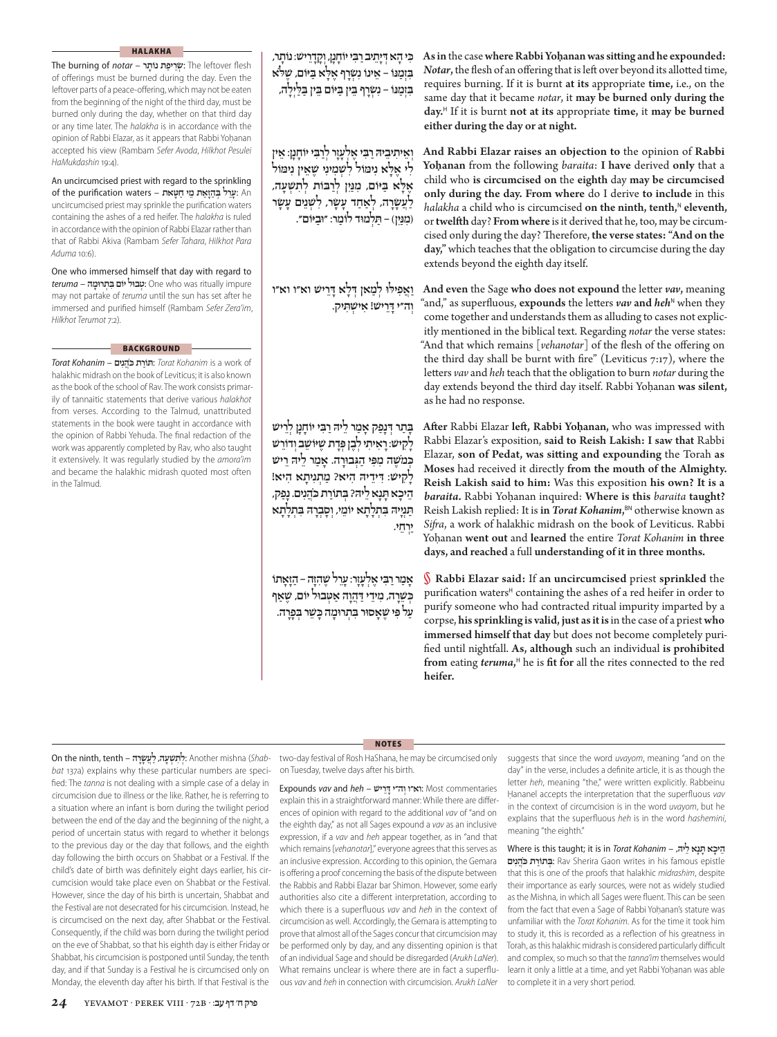# **HALAKHA**

 The burning of *notar* – **נוֹתר ָ יפתַ רֵשְׂ** : The leftover flesh of offerings must be burned during the day. Even the leftover parts of a peace-offering, which may not be eaten from the beginning of the night of the third day, must be burned only during the day, whether on that third day or any time later. The *halakha* is in accordance with the opinion of Rabbi Elazar, as it appears that Rabbi Yoĥanan accepted his view (Rambam *Sefer Avoda*, *Hilkhot Pesulei HaMukdashin* 19:4).

 An uncircumcised priest with regard to the sprinkling An **ָ**:**עֵרל ְּבַהָזַּאת ֵמי ַח ָּטאת** – waters purification the of uncircumcised priest may sprinkle the purification waters containing the ashes of a red heifer. The *halakha* is ruled in accordance with the opinion of Rabbi Elazar rather than that of Rabbi Akiva (Rambam *Sefer Tahara*, *Hilkhot Para Aduma* 10:6).

 One who immersed himself that day with regard to impure ritually was who One : **ְט ּבול יוֹם ִּב ְת ּרוָמה** – *teruma* may not partake of *teruma* until the sun has set after he immersed and purified himself (Rambam *Sefer Zera'im*, *Hilkhot Terumot* 7:2).

# **BACKGROUND**

*Torat Kohanim* – **ניםִהֲֹכּ וֹרתַתּ** : *Torat Kohanim* is a work of halakhic midrash on the book of Leviticus; it is also known as the book of the school of Rav. The work consists primarily of tannaitic statements that derive various *halakhot*  from verses. According to the Talmud, unattributed statements in the book were taught in accordance with the opinion of Rabbi Yehuda. The final redaction of the work was apparently completed by Rav, who also taught it extensively. It was regularly studied by the *amora'im* and became the halakhic midrash quoted most often in the Talmud.

**ּכי ָהא ְ ּדָיֵתיבַרִּבי ָ יוֹחָנן, ְוָקָדֵר ׁיש: ָנוֹתר, ִ ִּבְזַמּנוֹ – ֵאינוֹ ִנ ְׂשָרף ֶאָּלא ַּביּוֹם, ֶׁשּלֹא ִּבְזַמּנוֹ – ִנ ְׂשָרף ֵּבין ַּביּוֹם ֵּבין ַּבַּלְיָלה,**

**ְוֵא ִית ֵיב ּיהַרִּבי ֶאְלָעָזר ְלַרִּבי ָ יוֹחָנן: ֵאין ּלא ִנ ּימוֹל ִל ׁ ְש ִמ ִיני ֶׁשֵאין ִנ ּימוֹל ִלי ֶאָ ֶאָּלא ַּביּוֹם, ִמַּנִין ְלַרּבוֹת ְל ִתׁ ְשָעה, ַלֲע ָׂשָרה, ְלַאַחד ָע ָׂשר, ִל ׁ ְשֵנים ָע ָׂשר ( ִמַּנִין) – ַּתְל ּמוד ַלוֹמר: ּ״וַביּוֹם״.** 

**ַוֲא ִפ ּילּו ְלַמאן ְ ּדָלא ָּדֵר ׁיש וא״ו וא״ו ְוה״יָּדֵר ׁיש! ִא ׁ ְ ישִּתיק.**

**ָּבַתר ְ ּדָנַפק ָאַמר ֵל ּיהַרִּבי ָ יוֹחָנן ְלֵר ׁיש ָל ִק ׁיש: ָרִא ִיתי ְלֶבן ְּפָדת ֶׁש ֵׁ יּוֹשב ְו ֵדוֹרׁש ּכמֹ ֶׁשה ִמִּפי ַהְּג ּבוָרה. ָאַמר ֵל ּיהֵר ׁיש ְ ָל ִק ׁיש: ִ ּד ֵיד ּיה ִהיא? ַמ ְתִנ ָיתא ִהיא! ֵה ָיכא ָּתָנא ֵל ּיה? ְּב ַתוֹרת ּכֲֹהִנים. ָנַפק, ַּתְנָי ּיה ִּב ְתָלָתא ֵ יוֹמי, ְוָס ְבָרּה ִּב ְתָלָתא ַיְרֵחי.**

**ָאַמרַרִּבי ֶאְלָעָזר: ָעֵרל ֶׁש ִהָזּה – ַהָזָּאתוֹ ּכֵׁשָרה, ִמ ֵידיַּדֲהָוה ַא ְּט ּבול יוֹם, ֶׁשַאף ְ ּכֵׁשר ְּבָפָרה. ַעל ִּפי ֶׁשָא ּסור ִּב ְת ּרוָמה ָ**

**As in** the case **where Rabbi Yoĥanan was sitt ing and he expounded:**  *Notar*, the flesh of an offering that is left over beyond its allotted time, requires burning. If it is burnt **at its** appropriate **time,** i.e., on the same day that it became *notar*, it **may be burned only during the day.**<sup>H</sup>If it is burnt **not at its** appropriate **time,** it **may be burned either during the day or at night.**

**And Rabbi Elazar raises an objection to** the opinion of **Rabbi Yoĥanan** from the following *baraita*: **I have** derived **only** that a child who **is circumcised on** the **eighth** day **may be circumcised only during the day. From where** do I derive **to include** in this *halakha* a child who is circumcised on the ninth, tenth,<sup>N</sup> eleventh, or **twelft h** day? **From where** is it derived that he, too, may be circumcised only during the day? Therefore, the verse states: "And on the **day,"** which teaches that the obligation to circumcise during the day extends beyond the eighth day itself.

And even the Sage who does not expound the letter *vav*, meaning "and," as superfluous, expounds the letters *vav* and *heh*<sup>N</sup> when they come together and understands them as alluding to cases not explicitly mentioned in the biblical text. Regarding *notar* the verse states: "And that which remains [vehanotar] of the flesh of the offering on the third day shall be burnt with fire" (Leviticus  $7:17$ ), where the letters *vav* and *heh* teach that the obligation to burn *notar* during the day extends beyond the third day itself. Rabbi Yoĥanan **was silent,**  as he had no response.

**Aft er** Rabbi Elazar **left , Rabbi Yoĥanan,** who was impressed with Rabbi Elazar's exposition, **said to Reish Lakish: I saw that** Rabbi Elazar, **son of Pedat, was sitt ing and expounding** the Torah **as Moses** had received it directly **from the mouth of the Almighty. Reish Lakish said to him:** Was this exposition **his own? It is a**  *baraita***.** Rabbi Yoĥanan inquired: **Where is this** *baraita* **taught?**  Reish Lakish replied: It is in *Torat Kohanim*,<sup>8N</sup> otherwise known as *Sifr a*, a work of halakhic midrash on the book of Leviticus. Rabbi Yoĥanan **went out** and **learned** the entire *Torat Kohanim* **in three days, and reached** a full **understanding of it in three months.**

§ **Rabbi Elazar said:** If **an uncircumcised** priest **sprinkled** the purification waters<sup>H</sup> containing the ashes of a red heifer in order to purify someone who had contracted ritual impurity imparted by a corpse, **his sprinkling is valid, just as it is** in the case of a priest**who immersed himself that day** but does not become completely purified until nightfall. As, although such an individual is prohibited from eating *teruma*,<sup> $H$ </sup> he is fit for all the rites connected to the red **heifer.**

#### **NOTES**

 On the ninth, tenth – **רהָשָׂעֲלַ ,עהָשְ ׁתִ לְ** : Another mishna (*Shabbat* 137a) explains why these particular numbers are specified: The *tanna* is not dealing with a simple case of a delay in circumcision due to illness or the like. Rather, he is referring to a situation where an infant is born during the twilight period between the end of the day and the beginning of the night, a period of uncertain status with regard to whether it belongs to the previous day or the day that follows, and the eighth day following the birth occurs on Shabbat or a Festival. If the child's date of birth was definitely eight days earlier, his circumcision would take place even on Shabbat or the Festival. However, since the day of his birth is uncertain, Shabbat and the Festival are not desecrated for his circumcision. Instead, he is circumcised on the next day, after Shabbat or the Festival. Consequently, if the child was born during the twilight period on the eve of Shabbat, so that his eighth day is either Friday or Shabbat, his circumcision is postponed until Sunday, the tenth day, and if that Sunday is a Festival he is circumcised only on Monday, the eleventh day after his birth. If that Festival is the

two-day festival of Rosh HaShana, he may be circumcised only on Tuesday, twelve days after his birth.

 Expounds *vav* and *heh* – **ישׁ רֵדָּוה״יְ וא״ו**: Most commentaries explain this in a straightforward manner: While there are differences of opinion with regard to the additional *vav* of "and on the eighth day," as not all Sages expound a *vav* as an inclusive expression, if a *vav* and *heh* appear together, as in "and that which remains [*vehanotar*]," everyone agrees that this serves as an inclusive expression. According to this opinion, the Gemara is offering a proof concerning the basis of the dispute between the Rabbis and Rabbi Elazar bar Shimon. However, some early authorities also cite a different interpretation, according to which there is a superfluous *vav* and *heh* in the context of circumcision as well. Accordingly, the Gemara is attempting to prove that almost all of the Sages concur that circumcision may be performed only by day, and any dissenting opinion is that of an individual Sage and should be disregarded (*Arukh LaNer*). What remains unclear is where there are in fact a superfluous *vav* and *heh* in connection with circumcision. *Arukh LaNer*

suggests that since the word *uvayom*, meaning "and on the day" in the verse, includes a definite article, it is as though the letter *heh*, meaning "the," were written explicitly. Rabbeinu Ĥananel accepts the interpretation that the superfluous *vav* in the context of circumcision is in the word *uvayom*, but he explains that the superfluous *heh* is in the word *hashemini*, meaning "the eighth."

 Where is this taught; it is in *Torat Kohanim* – **,יהּ לֵ נאָתָּ יכאָ הֵ ניםִהֲכֹ ּ תוֹרתַ בְּ** : Rav Sherira Gaon writes in his famous epistle that this is one of the proofs that halakhic *midrashim*, despite their importance as early sources, were not as widely studied as the Mishna, in which all Sages were fluent. This can be seen from the fact that even a Sage of Rabbi Yoĥanan's stature was unfamiliar with the *Torat Kohanim*. As for the time it took him to study it, this is recorded as a reflection of his greatness in Torah, as this halakhic midrash is considered particularly difficult and complex, so much so that the *tanna'im* themselves would learn it only a little at a time, and yet Rabbi Yoĥanan was able to complete it in a very short period.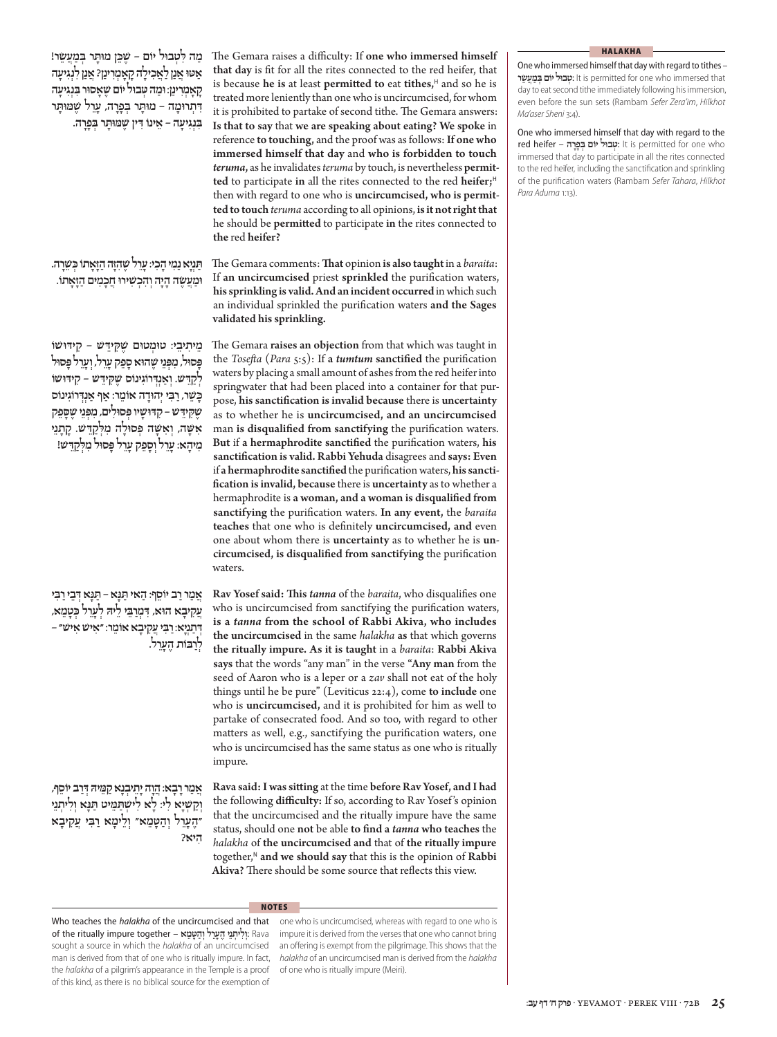**ּכן ּמו ָּתר ְּבַמֲע ֵׂשר! ּל ְט ּבול יוֹם – ֶׁשֵ ַמה ִ ַא ּטּוֲאַנן ַלֲא ִכ ָילהָקָא ְמִר ַינן? ֲאַנן ִלְנִג ָיעה ָקָא ְמִר ַינן: ּוַמה ְּט ּבול יוֹם ֶׁשָא ּסור ִּבְנִג ָיעה ִ ּד ְת ּרוָמה – ּמו ָּתר ְּבָפָרה, ָעֵרל ֶׁשּמּו ָּתר ִּבְנִג ָיעה – ֵאינוֹ ִ ּדין ֶׁשּמּו ָּתר ְּבָפָרה.** 

**ּכֵׁשָרה. ַּתְנָיאַנִמי ָה ִכי: ָעֵרל ֶׁש ִהָזּה ַהָזָּאתוֹ ְ ּוַמֲע ֶׂשה ָהָיה ְו ִה ְכׁ ִש ּ ירוֲחָכ ִמים ַהָזָּאתוֹ.**

**ֵמ ִית ֵיבי: ּטו ְמ ּטום ֶׁשִּק ֵּיד ׁש – ִק ּידּו ׁשוֹ ָּפ ּסול, ִמְּפֵני ֶׁש ּהוא ָסֵפק ָעֵרל, ְוָעֵרל ָּפ ּסול ְלַקֵּד ׁש. ְוַאְנְ ּד ִרוֹגינוֹס ֶׁשִּק ֵּיד ׁש – ִק ּידּו ׁשוֹ ּכֵׁשר, ַרִּבי ְי ּהוָדה ֵאוֹמר: ַאף ַאְנְ ּד ִרוֹגינוֹס ָ ֶׁשִּק ֵּיד ׁש – ִק ּדּו ָׁשיו ְּפ ּסוִלים, ִמְּפֵני ֶׁשָּסֵפק ִאָּׁשה, ְו ִאָּׁשה ְּפ ּסוָלה ִמ ְּלַקֵּד ׁש. ָקָתֵני ּלַקֵּד ׁש! ִמ ָיהא: ָעֵרל ְוָסֵפק ָעֵרל ָּפ ּסול ִמְ**

**ֲאַמרַרב ֵ יוֹסף: ַהאי ַּתָּנא – ַּתָּנא ְ ּדֵביַרִּבי ּכָטֵמא, ֲעִק ָיבא ּהוא, ִ ּד ְמַרֵּבי ֵל ּיה ְלָעֵרל ְ ְ ּדַתְנָיא: ַרִּביֲעִק ָיבא ֵאוֹמר: ִ״א ׁיש ִא ׁיש״ – ְלַרּבוֹת ֶהָעֵרל.** 

**ֲאַמרָרָבא: ֲהָוהָיֵת ְיבָנאַק ֵּמ ּיה ְ ּדַרב ֵ יוֹסף, ְוַק ׁ ְשָיא ִלי: ָלא ִל ׁ ְ ישַּת ֵּמיט ַּתָּנא ְו ִל ְיתֵני ֶ״הָעֵרל ְוַה ָּטֵמא״ ְוֵל ָימא ַרִּבי ֲע ִק ָיבא ִהיא?** 

The Gemara raises a difficulty: If one who immersed himself **that day** is fit for all the rites connected to the red heifer, that is because he is at least permitted to eat tithes,<sup>H</sup> and so he is treated more leniently than one who is uncircumcised, for whom it is prohibited to partake of second tithe. The Gemara answers: **Is that to say** that **we are speaking about eating? We spoke** in reference **to touching,** and the proof was as follows: **If one who immersed himself that day** and **who is forbidden to touch**  *teruma***,** as he invalidates *teruma* by touch, is nevertheless **permit**ted to participate in all the rites connected to the red heifer;<sup>H</sup> then with regard to one who is **uncircumcised, who is permitted to touch** *teruma* according to all opinions, **is it not right that**  he should be **permitt ed** to participate **in** the rites connected to **the** red **heifer?**

Th e Gemara comments: **Th at** opinion **is also taught** in a *baraita*: If **an uncircumcised** priest **sprinkled** the purification waters, **his sprinkling is valid. And an incident occurred** in which such an individual sprinkled the purification waters **and the Sages validated his sprinkling.**

The Gemara raises an objection from that which was taught in the *Toseft a* (*Para* Ʃ:Ʃ): If **a** *tumtum* **sanctifi ed** the purification waters by placing a small amount of ashes from the red heifer into springwater that had been placed into a container for that purpose, **his sanctifi cation is invalid because** there is **uncertainty**  as to whether he is **uncircumcised, and an uncircumcised**  man is disqualified from sanctifying the purification waters. But if a hermaphrodite sanctified the purification waters, his **sanctifi cation is valid. Rabbi Yehuda** disagrees and **says: Even**  if **a hermaphrodite sanctifi ed** the purification waters, **his sanctifi cation is invalid, because** there is **uncertainty** as to whether a hermaphrodite is a woman, and a woman is disqualified from **sanctifying** the purification waters. **In any event,** the *baraita* teaches that one who is definitely *uncircumcised*, and even one about whom there is **uncertainty** as to whether he is **uncircumcised, is disqualifi ed from sanctifying** the purification waters.

Rav Yosef said: This *tanna* of the *baraita*, who disqualifies one who is uncircumcised from sanctifying the purification waters, **is a** *tanna* **from the school of Rabbi Akiva, who includes the un circumcised** in the same *halakha* **as** that which governs **the ritually impure. As it is taught** in a *baraita*: **Rabbi Akiva says** that the words "any man" in the verse **"Any man** from the seed of Aaron who is a leper or a *zav* shall not eat of the holy things until he be pure" (Leviticus 22:4), come to include one who is **uncircumcised,** and it is prohibited for him as well to partake of consecrated food. And so too, with regard to other matters as well, e.g., sanctifying the purification waters, one who is uncircumcised has the same status as one who is ritually impure.

**Rava said: I was sitt ing** at the time **before Rav Yosef, and I had**  the following **diffi culty:** If so, according to Rav Yosef's opinion that the uncircumcised and the ritually impure have the same status, should one **not** be able **to fi nd a** *tanna* **who teaches** the *halakha* of **the uncircumcised and** that of **the ritually impure**  together,<sup>N</sup> and we should say that this is the opinion of Rabbi Akiva? There should be some source that reflects this view.

# **NOTES**

 Who teaches the *halakha* of the uncircumcised and that Rava **ְ**:**וִל ְיתֵני ֶהָעֵרל ְוַה ָּטֵמא** – together impure ritually the of sought a source in which the *halakha* of an uncircumcised man is derived from that of one who is ritually impure. In fact, the *halakha* of a pilgrim's appearance in the Temple is a proof of this kind, as there is no biblical source for the exemption of

one who is uncircumcised, whereas with regard to one who is impure it is derived from the verses that one who cannot bring an offering is exempt from the pilgrimage. This shows that the *halakha* of an uncircumcised man is derived from the *halakha* of one who is ritually impure (Meiri).

# **HALAKHA**

 One who immersed himself that day with regard to tithes – **שרֵׂעֲמַבְּ יוֹם בולּ טְ** : It is permitted for one who immersed that day to eat second tithe immediately following his immersion, even before the sun sets (Rambam *Sefer Zera'im*, *Hilkhot Ma'aser Sheni* 3:4).

 One who immersed himself that day with regard to the red heifer – **רהָפָבְּ יוֹם בולּ טְ** : It is permitted for one who immersed that day to participate in all the rites connected to the red heifer, including the sanctification and sprinkling of the purification waters (Rambam *Sefer Tahara*, *Hilkhot Para Aduma* 1:13).